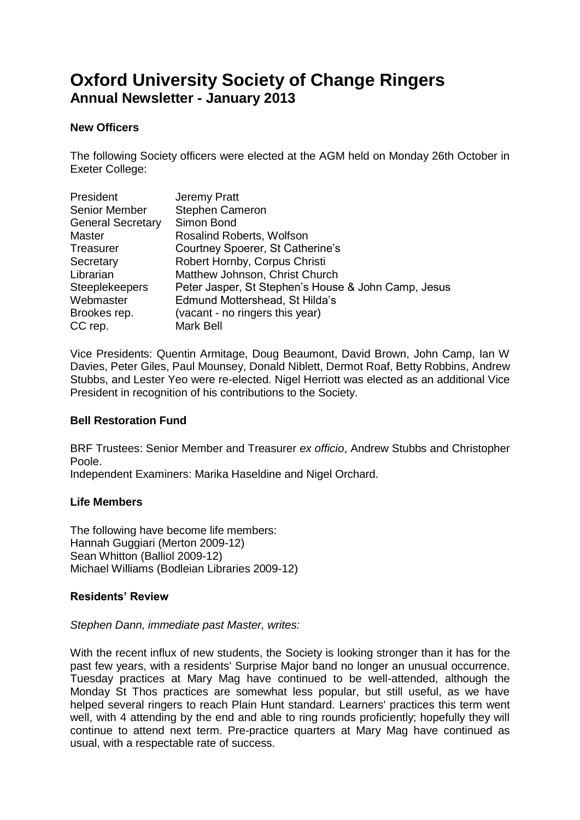# **Oxford University Society of Change Ringers Annual Newsletter - January 2013**

## **New Officers**

The following Society officers were elected at the AGM held on Monday 26th October in Exeter College:

| President                | Jeremy Pratt                                        |
|--------------------------|-----------------------------------------------------|
| <b>Senior Member</b>     | <b>Stephen Cameron</b>                              |
| <b>General Secretary</b> | Simon Bond                                          |
| <b>Master</b>            | Rosalind Roberts, Wolfson                           |
| <b>Treasurer</b>         | Courtney Spoerer, St Catherine's                    |
| Secretary                | Robert Hornby, Corpus Christi                       |
| Librarian                | Matthew Johnson, Christ Church                      |
| <b>Steeplekeepers</b>    | Peter Jasper, St Stephen's House & John Camp, Jesus |
| Webmaster                | Edmund Mottershead, St Hilda's                      |
| Brookes rep.             | (vacant - no ringers this year)                     |
| CC rep.                  | Mark Bell                                           |

Vice Presidents: Quentin Armitage, Doug Beaumont, David Brown, John Camp, Ian W Davies, Peter Giles, Paul Mounsey, Donald Niblett, Dermot Roaf, Betty Robbins, Andrew Stubbs, and Lester Yeo were re-elected. Nigel Herriott was elected as an additional Vice President in recognition of his contributions to the Society.

#### **Bell Restoration Fund**

BRF Trustees: Senior Member and Treasurer *ex officio*, Andrew Stubbs and Christopher Poole.

Independent Examiners: Marika Haseldine and Nigel Orchard.

# **Life Members**

The following have become life members: Hannah Guggiari (Merton 2009-12) Sean Whitton (Balliol 2009-12) Michael Williams (Bodleian Libraries 2009-12)

# **Residents' Review**

#### *Stephen Dann, immediate past Master, writes:*

With the recent influx of new students, the Society is looking stronger than it has for the past few years, with a residents' Surprise Major band no longer an unusual occurrence. Tuesday practices at Mary Mag have continued to be well-attended, although the Monday St Thos practices are somewhat less popular, but still useful, as we have helped several ringers to reach Plain Hunt standard. Learners' practices this term went well, with 4 attending by the end and able to ring rounds proficiently; hopefully they will continue to attend next term. Pre-practice quarters at Mary Mag have continued as usual, with a respectable rate of success.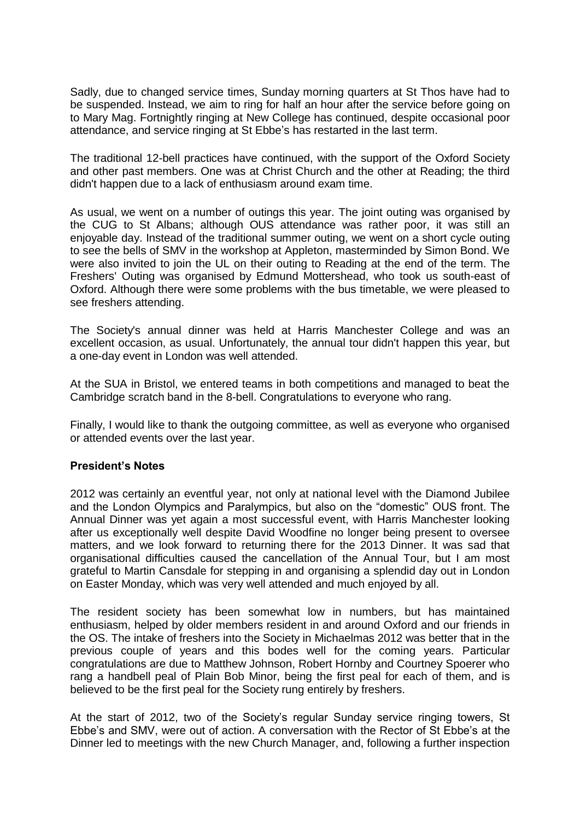Sadly, due to changed service times, Sunday morning quarters at St Thos have had to be suspended. Instead, we aim to ring for half an hour after the service before going on to Mary Mag. Fortnightly ringing at New College has continued, despite occasional poor attendance, and service ringing at St Ebbe's has restarted in the last term.

The traditional 12-bell practices have continued, with the support of the Oxford Society and other past members. One was at Christ Church and the other at Reading; the third didn't happen due to a lack of enthusiasm around exam time.

As usual, we went on a number of outings this year. The joint outing was organised by the CUG to St Albans; although OUS attendance was rather poor, it was still an enjoyable day. Instead of the traditional summer outing, we went on a short cycle outing to see the bells of SMV in the workshop at Appleton, masterminded by Simon Bond. We were also invited to join the UL on their outing to Reading at the end of the term. The Freshers' Outing was organised by Edmund Mottershead, who took us south-east of Oxford. Although there were some problems with the bus timetable, we were pleased to see freshers attending.

The Society's annual dinner was held at Harris Manchester College and was an excellent occasion, as usual. Unfortunately, the annual tour didn't happen this year, but a one-day event in London was well attended.

At the SUA in Bristol, we entered teams in both competitions and managed to beat the Cambridge scratch band in the 8-bell. Congratulations to everyone who rang.

Finally, I would like to thank the outgoing committee, as well as everyone who organised or attended events over the last year.

#### **President's Notes**

2012 was certainly an eventful year, not only at national level with the Diamond Jubilee and the London Olympics and Paralympics, but also on the "domestic" OUS front. The Annual Dinner was yet again a most successful event, with Harris Manchester looking after us exceptionally well despite David Woodfine no longer being present to oversee matters, and we look forward to returning there for the 2013 Dinner. It was sad that organisational difficulties caused the cancellation of the Annual Tour, but I am most grateful to Martin Cansdale for stepping in and organising a splendid day out in London on Easter Monday, which was very well attended and much enjoyed by all.

The resident society has been somewhat low in numbers, but has maintained enthusiasm, helped by older members resident in and around Oxford and our friends in the OS. The intake of freshers into the Society in Michaelmas 2012 was better that in the previous couple of years and this bodes well for the coming years. Particular congratulations are due to Matthew Johnson, Robert Hornby and Courtney Spoerer who rang a handbell peal of Plain Bob Minor, being the first peal for each of them, and is believed to be the first peal for the Society rung entirely by freshers.

At the start of 2012, two of the Society's regular Sunday service ringing towers, St Ebbe's and SMV, were out of action. A conversation with the Rector of St Ebbe's at the Dinner led to meetings with the new Church Manager, and, following a further inspection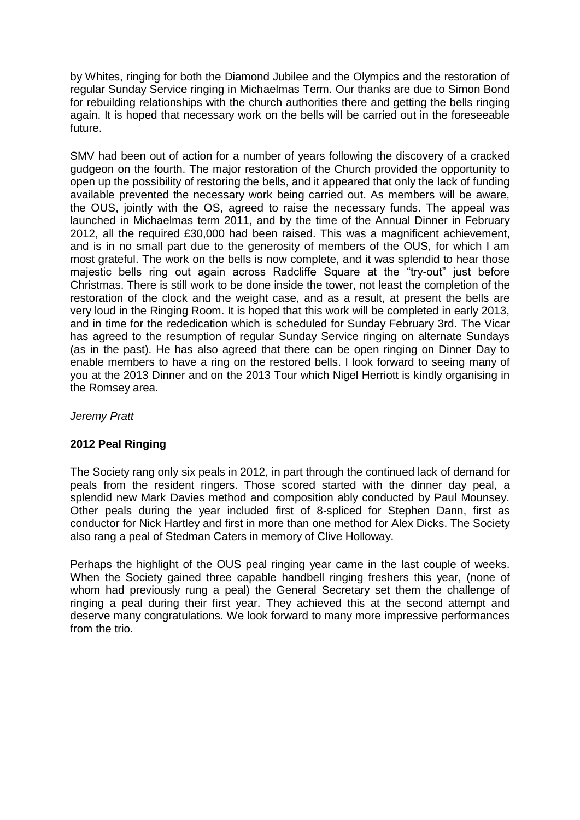by Whites, ringing for both the Diamond Jubilee and the Olympics and the restoration of regular Sunday Service ringing in Michaelmas Term. Our thanks are due to Simon Bond for rebuilding relationships with the church authorities there and getting the bells ringing again. It is hoped that necessary work on the bells will be carried out in the foreseeable future.

SMV had been out of action for a number of years following the discovery of a cracked gudgeon on the fourth. The major restoration of the Church provided the opportunity to open up the possibility of restoring the bells, and it appeared that only the lack of funding available prevented the necessary work being carried out. As members will be aware, the OUS, jointly with the OS, agreed to raise the necessary funds. The appeal was launched in Michaelmas term 2011, and by the time of the Annual Dinner in February 2012, all the required £30,000 had been raised. This was a magnificent achievement, and is in no small part due to the generosity of members of the OUS, for which I am most grateful. The work on the bells is now complete, and it was splendid to hear those majestic bells ring out again across Radcliffe Square at the "try-out" just before Christmas. There is still work to be done inside the tower, not least the completion of the restoration of the clock and the weight case, and as a result, at present the bells are very loud in the Ringing Room. It is hoped that this work will be completed in early 2013, and in time for the rededication which is scheduled for Sunday February 3rd. The Vicar has agreed to the resumption of regular Sunday Service ringing on alternate Sundays (as in the past). He has also agreed that there can be open ringing on Dinner Day to enable members to have a ring on the restored bells. I look forward to seeing many of you at the 2013 Dinner and on the 2013 Tour which Nigel Herriott is kindly organising in the Romsey area.

*Jeremy Pratt*

# **2012 Peal Ringing**

The Society rang only six peals in 2012, in part through the continued lack of demand for peals from the resident ringers. Those scored started with the dinner day peal, a splendid new Mark Davies method and composition ably conducted by Paul Mounsey. Other peals during the year included first of 8-spliced for Stephen Dann, first as conductor for Nick Hartley and first in more than one method for Alex Dicks. The Society also rang a peal of Stedman Caters in memory of Clive Holloway.

Perhaps the highlight of the OUS peal ringing year came in the last couple of weeks. When the Society gained three capable handbell ringing freshers this year, (none of whom had previously rung a peal) the General Secretary set them the challenge of ringing a peal during their first year. They achieved this at the second attempt and deserve many congratulations. We look forward to many more impressive performances from the trio.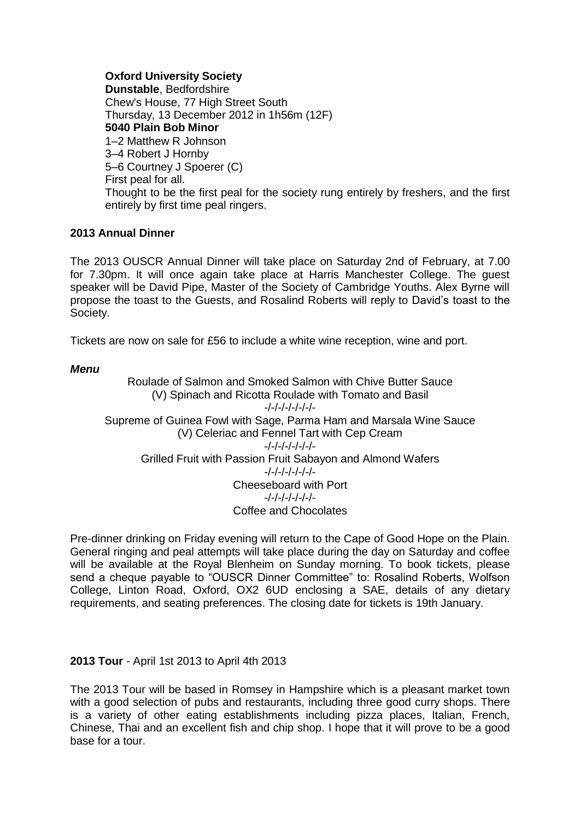**Oxford University Society Dunstable**, Bedfordshire Chew's House, 77 High Street South Thursday, 13 December 2012 in 1h56m (12F) **5040 Plain Bob Minor** 1–2 Matthew R Johnson 3–4 Robert J Hornby 5–6 Courtney J Spoerer (C) First peal for all. Thought to be the first peal for the society rung entirely by freshers, and the first entirely by first time peal ringers.

#### **2013 Annual Dinner**

The 2013 OUSCR Annual Dinner will take place on Saturday 2nd of February, at 7.00 for 7.30pm. It will once again take place at Harris Manchester College. The guest speaker will be David Pipe, Master of the Society of Cambridge Youths. Alex Byrne will propose the toast to the Guests, and Rosalind Roberts will reply to David's toast to the Society.

Tickets are now on sale for £56 to include a white wine reception, wine and port.

## *Menu*

Roulade of Salmon and Smoked Salmon with Chive Butter Sauce (V) Spinach and Ricotta Roulade with Tomato and Basil -/-/-/-/-/-/-/- Supreme of Guinea Fowl with Sage, Parma Ham and Marsala Wine Sauce (V) Celeriac and Fennel Tart with Cep Cream -/-/-/-/-/-/-/- Grilled Fruit with Passion Fruit Sabayon and Almond Wafers -/-/-/-/-/-/-/- Cheeseboard with Port -/-/-/-/-/-/-/- Coffee and Chocolates

Pre-dinner drinking on Friday evening will return to the Cape of Good Hope on the Plain. General ringing and peal attempts will take place during the day on Saturday and coffee will be available at the Royal Blenheim on Sunday morning. To book tickets, please send a cheque payable to "OUSCR Dinner Committee" to: Rosalind Roberts, Wolfson College, Linton Road, Oxford, OX2 6UD enclosing a SAE, details of any dietary requirements, and seating preferences. The closing date for tickets is 19th January.

**2013 Tour** - April 1st 2013 to April 4th 2013

The 2013 Tour will be based in Romsey in Hampshire which is a pleasant market town with a good selection of pubs and restaurants, including three good curry shops. There is a variety of other eating establishments including pizza places, Italian, French, Chinese, Thai and an excellent fish and chip shop. I hope that it will prove to be a good base for a tour.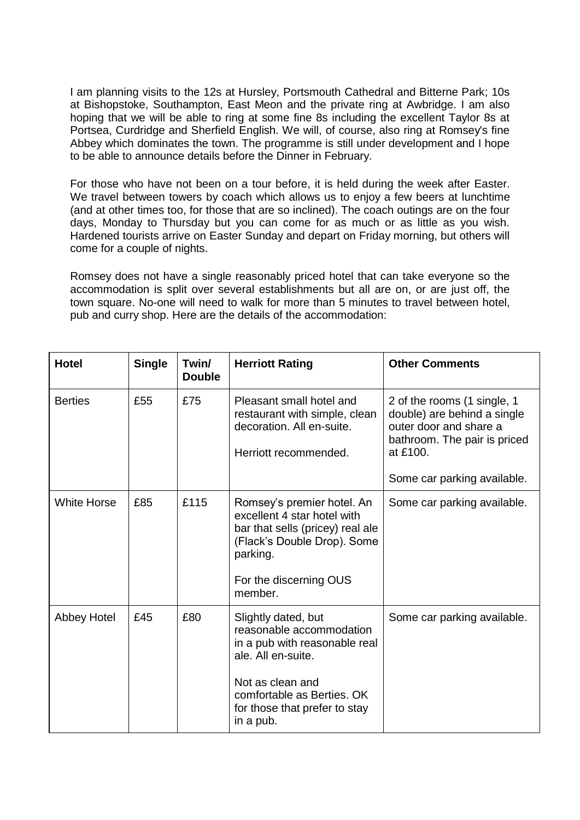I am planning visits to the 12s at Hursley, Portsmouth Cathedral and Bitterne Park; 10s at Bishopstoke, Southampton, East Meon and the private ring at Awbridge. I am also hoping that we will be able to ring at some fine 8s including the excellent Taylor 8s at Portsea, Curdridge and Sherfield English. We will, of course, also ring at Romsey's fine Abbey which dominates the town. The programme is still under development and I hope to be able to announce details before the Dinner in February.

For those who have not been on a tour before, it is held during the week after Easter. We travel between towers by coach which allows us to enjoy a few beers at lunchtime (and at other times too, for those that are so inclined). The coach outings are on the four days, Monday to Thursday but you can come for as much or as little as you wish. Hardened tourists arrive on Easter Sunday and depart on Friday morning, but others will come for a couple of nights.

Romsey does not have a single reasonably priced hotel that can take everyone so the accommodation is split over several establishments but all are on, or are just off, the town square. No-one will need to walk for more than 5 minutes to travel between hotel, pub and curry shop. Here are the details of the accommodation:

| <b>Hotel</b>       | <b>Single</b> | Twin/<br><b>Double</b> | <b>Herriott Rating</b>                                                                                                                                                                                 | <b>Other Comments</b>                                                                                                                                           |
|--------------------|---------------|------------------------|--------------------------------------------------------------------------------------------------------------------------------------------------------------------------------------------------------|-----------------------------------------------------------------------------------------------------------------------------------------------------------------|
| <b>Berties</b>     | £55           | £75                    | Pleasant small hotel and<br>restaurant with simple, clean<br>decoration. All en-suite.<br>Herriott recommended.                                                                                        | 2 of the rooms (1 single, 1<br>double) are behind a single<br>outer door and share a<br>bathroom. The pair is priced<br>at £100.<br>Some car parking available. |
| <b>White Horse</b> | £85           | £115                   | Romsey's premier hotel. An<br>excellent 4 star hotel with<br>bar that sells (pricey) real ale<br>(Flack's Double Drop). Some<br>parking.<br>For the discerning OUS<br>member.                          | Some car parking available.                                                                                                                                     |
| Abbey Hotel        | £45           | £80                    | Slightly dated, but<br>reasonable accommodation<br>in a pub with reasonable real<br>ale. All en-suite.<br>Not as clean and<br>comfortable as Berties. OK<br>for those that prefer to stay<br>in a pub. | Some car parking available.                                                                                                                                     |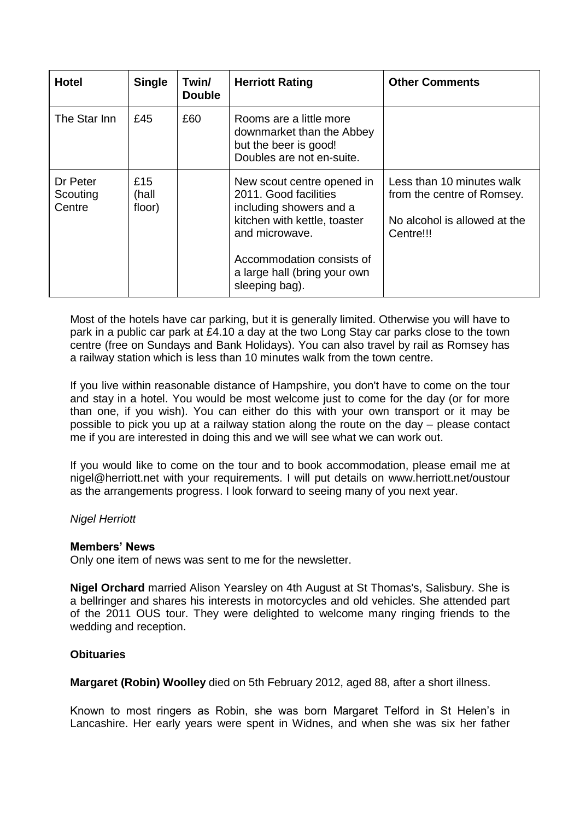| <b>Hotel</b>                   | <b>Single</b>          | Twin/<br><b>Double</b> | <b>Herriott Rating</b>                                                                                                                                                                                          | <b>Other Comments</b>                                                                                |
|--------------------------------|------------------------|------------------------|-----------------------------------------------------------------------------------------------------------------------------------------------------------------------------------------------------------------|------------------------------------------------------------------------------------------------------|
| The Star Inn                   | £45                    | £60                    | Rooms are a little more<br>downmarket than the Abbey<br>but the beer is good!<br>Doubles are not en-suite.                                                                                                      |                                                                                                      |
| Dr Peter<br>Scouting<br>Centre | £15<br>(hall<br>floor) |                        | New scout centre opened in<br>2011. Good facilities<br>including showers and a<br>kitchen with kettle, toaster<br>and microwave.<br>Accommodation consists of<br>a large hall (bring your own<br>sleeping bag). | Less than 10 minutes walk<br>from the centre of Romsey.<br>No alcohol is allowed at the<br>Centre!!! |

Most of the hotels have car parking, but it is generally limited. Otherwise you will have to park in a public car park at £4.10 a day at the two Long Stay car parks close to the town centre (free on Sundays and Bank Holidays). You can also travel by rail as Romsey has a railway station which is less than 10 minutes walk from the town centre.

If you live within reasonable distance of Hampshire, you don't have to come on the tour and stay in a hotel. You would be most welcome just to come for the day (or for more than one, if you wish). You can either do this with your own transport or it may be possible to pick you up at a railway station along the route on the day – please contact me if you are interested in doing this and we will see what we can work out.

If you would like to come on the tour and to book accommodation, please email me at nigel@herriott.net with your requirements. I will put details on www.herriott.net/oustour as the arrangements progress. I look forward to seeing many of you next year.

#### *Nigel Herriott*

#### **Members' News**

Only one item of news was sent to me for the newsletter.

**Nigel Orchard** married Alison Yearsley on 4th August at St Thomas's, Salisbury. She is a bellringer and shares his interests in motorcycles and old vehicles. She attended part of the 2011 OUS tour. They were delighted to welcome many ringing friends to the wedding and reception.

# **Obituaries**

**Margaret (Robin) Woolley** died on 5th February 2012, aged 88, after a short illness.

Known to most ringers as Robin, she was born Margaret Telford in St Helen's in Lancashire. Her early years were spent in Widnes, and when she was six her father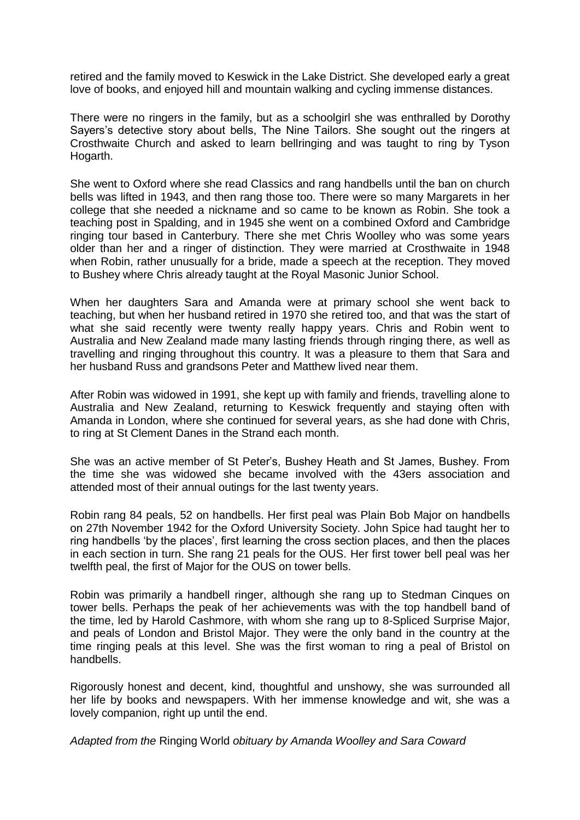retired and the family moved to Keswick in the Lake District. She developed early a great love of books, and enjoyed hill and mountain walking and cycling immense distances.

There were no ringers in the family, but as a schoolgirl she was enthralled by Dorothy Sayers's detective story about bells, The Nine Tailors. She sought out the ringers at Crosthwaite Church and asked to learn bellringing and was taught to ring by Tyson Hogarth.

She went to Oxford where she read Classics and rang handbells until the ban on church bells was lifted in 1943, and then rang those too. There were so many Margarets in her college that she needed a nickname and so came to be known as Robin. She took a teaching post in Spalding, and in 1945 she went on a combined Oxford and Cambridge ringing tour based in Canterbury. There she met Chris Woolley who was some years older than her and a ringer of distinction. They were married at Crosthwaite in 1948 when Robin, rather unusually for a bride, made a speech at the reception. They moved to Bushey where Chris already taught at the Royal Masonic Junior School.

When her daughters Sara and Amanda were at primary school she went back to teaching, but when her husband retired in 1970 she retired too, and that was the start of what she said recently were twenty really happy years. Chris and Robin went to Australia and New Zealand made many lasting friends through ringing there, as well as travelling and ringing throughout this country. It was a pleasure to them that Sara and her husband Russ and grandsons Peter and Matthew lived near them.

After Robin was widowed in 1991, she kept up with family and friends, travelling alone to Australia and New Zealand, returning to Keswick frequently and staying often with Amanda in London, where she continued for several years, as she had done with Chris, to ring at St Clement Danes in the Strand each month.

She was an active member of St Peter's, Bushey Heath and St James, Bushey. From the time she was widowed she became involved with the 43ers association and attended most of their annual outings for the last twenty years.

Robin rang 84 peals, 52 on handbells. Her first peal was Plain Bob Major on handbells on 27th November 1942 for the Oxford University Society. John Spice had taught her to ring handbells 'by the places', first learning the cross section places, and then the places in each section in turn. She rang 21 peals for the OUS. Her first tower bell peal was her twelfth peal, the first of Major for the OUS on tower bells.

Robin was primarily a handbell ringer, although she rang up to Stedman Cinques on tower bells. Perhaps the peak of her achievements was with the top handbell band of the time, led by Harold Cashmore, with whom she rang up to 8-Spliced Surprise Major, and peals of London and Bristol Major. They were the only band in the country at the time ringing peals at this level. She was the first woman to ring a peal of Bristol on handbells.

Rigorously honest and decent, kind, thoughtful and unshowy, she was surrounded all her life by books and newspapers. With her immense knowledge and wit, she was a lovely companion, right up until the end.

*Adapted from the* Ringing World *obituary by Amanda Woolley and Sara Coward*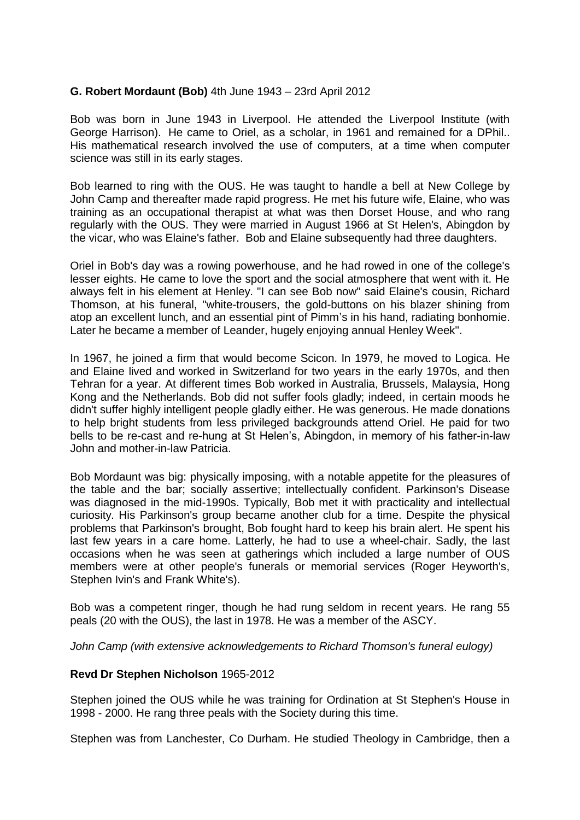## **G. Robert Mordaunt (Bob)** 4th June 1943 – 23rd April 2012

Bob was born in June 1943 in Liverpool. He attended the Liverpool Institute (with George Harrison). He came to Oriel, as a scholar, in 1961 and remained for a DPhil.. His mathematical research involved the use of computers, at a time when computer science was still in its early stages.

Bob learned to ring with the OUS. He was taught to handle a bell at New College by John Camp and thereafter made rapid progress. He met his future wife, Elaine, who was training as an occupational therapist at what was then Dorset House, and who rang regularly with the OUS. They were married in August 1966 at St Helen's, Abingdon by the vicar, who was Elaine's father. Bob and Elaine subsequently had three daughters.

Oriel in Bob's day was a rowing powerhouse, and he had rowed in one of the college's lesser eights. He came to love the sport and the social atmosphere that went with it. He always felt in his element at Henley. "I can see Bob now" said Elaine's cousin, Richard Thomson, at his funeral, "white-trousers, the gold-buttons on his blazer shining from atop an excellent lunch, and an essential pint of Pimm's in his hand, radiating bonhomie. Later he became a member of Leander, hugely enjoying annual Henley Week".

In 1967, he joined a firm that would become Scicon. In 1979, he moved to Logica. He and Elaine lived and worked in Switzerland for two years in the early 1970s, and then Tehran for a year. At different times Bob worked in Australia, Brussels, Malaysia, Hong Kong and the Netherlands. Bob did not suffer fools gladly; indeed, in certain moods he didn't suffer highly intelligent people gladly either. He was generous. He made donations to help bright students from less privileged backgrounds attend Oriel. He paid for two bells to be re-cast and re-hung at St Helen's, Abingdon, in memory of his father-in-law John and mother-in-law Patricia.

Bob Mordaunt was big: physically imposing, with a notable appetite for the pleasures of the table and the bar; socially assertive; intellectually confident. Parkinson's Disease was diagnosed in the mid-1990s. Typically, Bob met it with practicality and intellectual curiosity. His Parkinson's group became another club for a time. Despite the physical problems that Parkinson's brought, Bob fought hard to keep his brain alert. He spent his last few years in a care home. Latterly, he had to use a wheel-chair. Sadly, the last occasions when he was seen at gatherings which included a large number of OUS members were at other people's funerals or memorial services (Roger Heyworth's, Stephen Ivin's and Frank White's).

Bob was a competent ringer, though he had rung seldom in recent years. He rang 55 peals (20 with the OUS), the last in 1978. He was a member of the ASCY.

*John Camp (with extensive acknowledgements to Richard Thomson's funeral eulogy)*

#### **Revd Dr Stephen Nicholson** 1965-2012

Stephen joined the OUS while he was training for Ordination at St Stephen's House in 1998 - 2000. He rang three peals with the Society during this time.

Stephen was from Lanchester, Co Durham. He studied Theology in Cambridge, then a